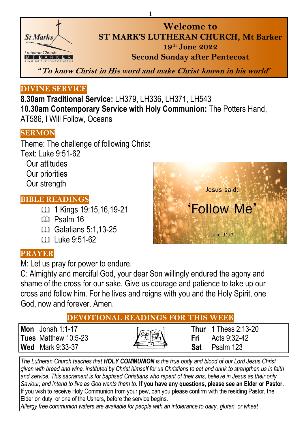

**Welcome to ST MARK'S LUTHERAN CHURCH, Mt Barker 19 th June 2022 Second Sunday after Pentecost**

**"To know Christ in His word and make Christ known in his world"**

1

#### **DIVINE SERVICE**

**8.30am Traditional Service:** LH379, LH336, LH371, LH543 **10.30am Contemporary Service with Holy Communion:** The Potters Hand, AT586, I Will Follow, Oceans

#### **SERMON**

Theme: The challenge of following Christ Text: Luke 9:51-62 Our attitudes Our priorities Our strength

#### **BIBLE READINGS**

- 1 Kings 19:15,16,19-21
- C<sub>D</sub> Psalm 16
- Galatians 5:1.13-25
- $\Box$  Luke 9:51-62

#### **PRAYER**

M: Let us pray for power to endure.

C: Almighty and merciful God, your dear Son willingly endured the agony and shame of the cross for our sake. Give us courage and patience to take up our cross and follow him. For he lives and reigns with you and the Holy Spirit, one God, now and forever. Amen.

#### **DEVOTIONAL READINGS FOR THIS WEEK**

**Mon** Jonah 1:1-17 **Thur** 1 Thess 2:13-20<br> **Tues** Matthew 10:5-23 **Thur These Frida Frida Frida Exp Exp Exp Exp Exp Exp Exp Exp Exp Exp Exp Exp Exp Exp Exp Exp Exp Exp Exp Ex Tues** Matthew 10:5-23 **Fri Fri Fri Fri Fri Wed** Mark 9:33-37 **Sat** Psalm 123

*The Lutheran Church teaches that HOLY COMMUNION is the true body and blood of our Lord Jesus Christ given with bread and wine, instituted by Christ himself for us Christians to eat and drink to strengthen us in faith and service. This sacrament is for baptised Christians who repent of their sins, believe in Jesus as their only Saviour, and intend to live as God wants them to.* **If you have any questions, please see an Elder or Pastor.**  If you wish to receive Holy Communion from your pew, can you please confirm with the residing Pastor, the Elder on duty, or one of the Ushers, before the service begins.

*Allergy free communion wafers are available for people with an intolerance to dairy, gluten, or wheat*

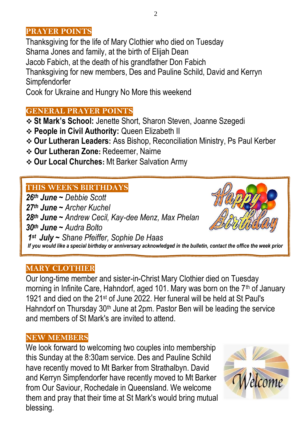#### **PRAYER POINTS**

Thanksgiving for the life of Mary Clothier who died on Tuesday Sharna Jones and family, at the birth of Elijah Dean Jacob Fabich, at the death of his grandfather Don Fabich Thanksgiving for new members, Des and Pauline Schild, David and Kerryn Simpfendorfer

Cook for Ukraine and Hungry No More this weekend

#### **GENERAL PRAYER POINTS**

**St Mark's School:** Jenette Short, Sharon Steven, Joanne Szegedi

- **People in Civil Authority:** Queen Elizabeth II
- **Our Lutheran Leaders:** Ass Bishop, Reconciliation Ministry, Ps Paul Kerber
- **Our Lutheran Zone:** Redeemer, Nairne
- **Our Local Churches:** Mt Barker Salvation Army

#### **THIS WEEK'S BIRTHDAYS**

21 …<br>nn+h *th June ~ Debbie Scott th June ~ Archer Kuchel th June ~ Andrew Cecil, Kay-dee Menz, Max Phelan th June ~ Audra Bolto st July ~ Shane Pfeiffer, Sophie De Haas If you would like a special birthday or anniversary acknowledged in the bulletin, contact the office the week prior*

#### **MARY CLOTHIER**

Our long-time member and sister-in-Christ Mary Clothier died on Tuesday morning in Infinite Care, Hahndorf, aged 101. Mary was born on the 7<sup>th</sup> of January 1921 and died on the 21st of June 2022. Her funeral will be held at St Paul's Hahndorf on Thursday 30<sup>th</sup> June at 2pm. Pastor Ben will be leading the service and members of St Mark's are invited to attend.

#### **NEW MEMBERS**

We look forward to welcoming two couples into membership this Sunday at the 8:30am service. Des and Pauline Schild have recently moved to Mt Barker from Strathalbyn. David and Kerryn Simpfendorfer have recently moved to Mt Barker from Our Saviour, Rochedale in Queensland. We welcome them and pray that their time at St Mark's would bring mutual blessing.

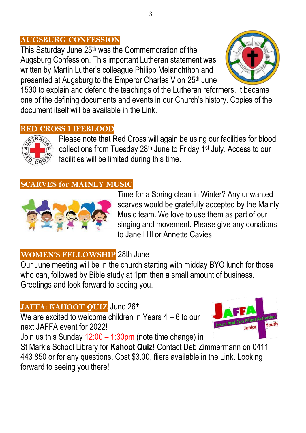### **AUGSBURG CONFESSION**

This Saturday June 25th was the Commemoration of the Augsburg Confession. This important Lutheran statement was written by Martin Luther's colleague Philipp Melanchthon and presented at Augsburg to the Emperor Charles V on 25<sup>th</sup> June



1530 to explain and defend the teachings of the Lutheran reformers. It became one of the defining documents and events in our Church's history. Copies of the document itself will be available in the Link.

#### **RED CROSS LIFEBLOOD**



Please note that Red Cross will again be using our facilities for blood collections from Tuesday 28th June to Friday 1st July. Access to our facilities will be limited during this time.

#### **SCARVES for MAINLY MUSIC**



Time for a Spring clean in Winter? Any unwanted scarves would be gratefully accepted by the Mainly Music team. We love to use them as part of our singing and movement. Please give any donations to Jane Hill or Annette Cavies.

# **WOMEN'S FELLOWSHIP** 28th June

Our June meeting will be in the church starting with midday BYO lunch for those who can, followed by Bible study at 1pm then a small amount of business. Greetings and look forward to seeing you.

# JAFFA: KAHOOT QUIZ June 26th

We are excited to welcome children in Years 4 – 6 to our next JAFFA event for 2022!



Join us this Sunday 12:00 – 1:30pm (note time change) in

St Mark's School Library for **Kahoot Quiz!** Contact Deb Zimmermann on 0411 443 850 or for any questions. Cost \$3.00, fliers available in the Link. Looking forward to seeing you there!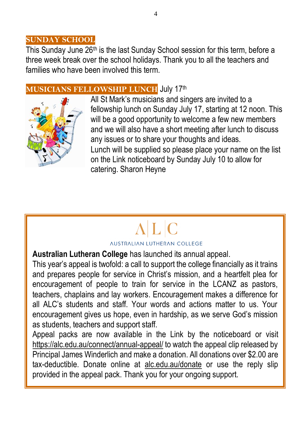#### **SUNDAY SCHOOL**

This Sunday June 26<sup>th</sup> is the last Sunday School session for this term, before a three week break over the school holidays. Thank you to all the teachers and families who have been involved this term.

#### **MUSICIANS FELLOWSHIP LUNCH** July 17th



All St Mark's musicians and singers are invited to a fellowship lunch on Sunday July 17, starting at 12 noon. This will be a good opportunity to welcome a few new members and we will also have a short meeting after lunch to discuss any issues or to share your thoughts and ideas. Lunch will be supplied so please place your name on the list on the Link noticeboard by Sunday July 10 to allow for catering. Sharon Heyne

#### *AUSTRALIAN LUTHERAN COLLEGE*

#### **Australian Lutheran College** has launched its annual appeal.

This year's appeal is twofold: a call to support the college financially as it trains and prepares people for service in Christ's mission, and a heartfelt plea for encouragement of people to train for service in the LCANZ as pastors, teachers, chaplains and lay workers. Encouragement makes a difference for all ALC's students and staff. Your words and actions matter to us. Your encouragement gives us hope, even in hardship, as we serve God's mission as students, teachers and support staff.

Appeal packs are now available in the Link by the noticeboard or visit <https://alc.edu.au/connect/annual-appeal/> to watch the appeal clip released by Principal James Winderlich and make a donation. All donations over \$2.00 are tax-deductible. Donate online at [alc.edu.au/donate](http://www.alc.edu.au/donate) or use the reply slip provided in the appeal pack. Thank you for your ongoing support.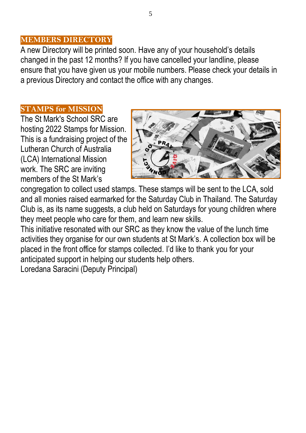#### **MEMBERS DIRECTORY**

A new Directory will be printed soon. Have any of your household's details changed in the past 12 months? If you have cancelled your landline, please ensure that you have given us your mobile numbers. Please check your details in a previous Directory and contact the office with any changes.

#### **STAMPS for MISSION**

The St Mark's School SRC are hosting 2022 Stamps for Mission. This is a fundraising project of the Lutheran Church of Australia (LCA) International Mission work. The SRC are inviting members of the St Mark's



congregation to collect used stamps. These stamps will be sent to the LCA, sold and all monies raised earmarked for the Saturday Club in Thailand. The Saturday Club is, as its name suggests, a club held on Saturdays for young children where they meet people who care for them, and learn new skills.

This initiative resonated with our SRC as they know the value of the lunch time activities they organise for our own students at St Mark's. A collection box will be placed in the front office for stamps collected. I'd like to thank you for your anticipated support in helping our students help others.

Loredana Saracini (Deputy Principal)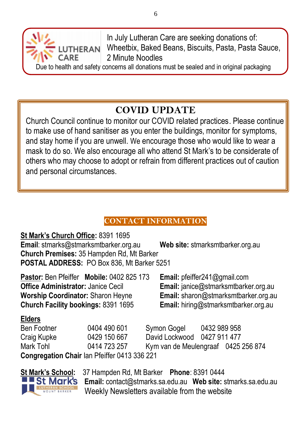In July Lutheran Care are seeking donations of: Wheetbix, Baked Beans, Biscuits, Pasta, Pasta Sauce, 2 Minute Noodles

Due to health and safety concerns all donations must be sealed and in original packaging

# **COVID UPDATE**

Church Council continue to monitor our COVID related practices. Please continue to make use of hand sanitiser as you enter the buildings, monitor for symptoms, and stay home if you are unwell. We encourage those who would like to wear a mask to do so. We also encourage all who attend St Mark's to be considerate of others who may choose to adopt or refrain from different practices out of caution and personal circumstances.

# **CONTACT INFORMATION**

**St Mark's Church Office:** 8391 1695 **Email**: [stmarks@stmarksmtbarker.org.au](mailto:stmarks@stmarksmtbarker.org.au) **Web site:** stmarksmtbarker.org.au **Church Premises:** 35 Hampden Rd, Mt Barker **POSTAL ADDRESS:** PO Box 836, Mt Barker 5251 **Pastor:** Ben Pfeiffer **Mobile:** 0402 825 173 **Email:** [pfeiffer241@gmail.com](mailto:pfeiffer241@gmail.com)

**Office Administrator:** Janice Cecil **Email:** [janice@stmarksmtbarker.org.au](mailto:janice@stmarksmtbarker.org.au) **Worship Coordinator:** Sharon Heyne **Email:** [sharon@stmarksmtbarker.org.au](mailto:sharon@stmarksmtbarker.org.au) **Church Facility bookings:** 8391 1695 **Email:** hiring@stmarksmtbarker.org.au

LUTHERAN

CARE

#### **Elders**

Ben Footner 0404 490 601 Symon Gogel 0432 989 958 Craig Kupke 0429 150 667 David Lockwood 0427 911 477 Mark Tohl 0414 723 257 Kym van de Meulengraaf 0425 256 874 **Congregation Chair** Ian Pfeiffer 0413 336 221



**St Mark's School:** 37 Hampden Rd, Mt Barker **Phone**: 8391 0444 **Email:** [contact@stmarks.sa.edu.au](mailto:contact@stmarks.sa.edu.au) **Web site:** [stmarks.sa.edu.au](http://www.stmarks.sa.edu.au/) Weekly Newsletters available from the website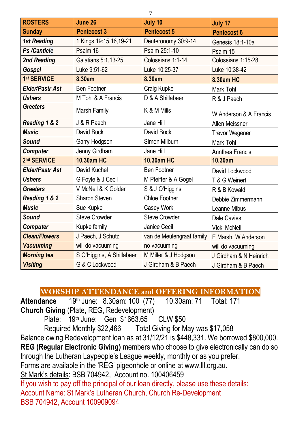| <b>ROSTERS</b>          | June 26                   | July 10                   | July 17                |
|-------------------------|---------------------------|---------------------------|------------------------|
| <b>Sunday</b>           | <b>Pentecost 3</b>        | <b>Pentecost 5</b>        | <b>Pentecost 6</b>     |
| <b>1st Reading</b>      | 1 Kings 19:15,16,19-21    | Deuteronomy 30:9-14       | Genesis 18:1-10a       |
| Ps /Canticle            | Psalm 16                  | Psalm 25:1-10             | Psalm 15               |
| 2nd Reading             | Galatians 5:1,13-25       | Colossians 1:1-14         | Colossians 1:15-28     |
| Gospel                  | Luke 9:51-62              | Luke 10:25-37             | Luke 10:38-42          |
| 1st SERVICE             | 8.30am                    | 8.30am                    | 8.30am HC              |
| Elder/Pastr Ast         | <b>Ben Footner</b>        | Craig Kupke               | Mark Tohl              |
| <b>Ushers</b>           | M Tohl & A Francis        | D & A Shillabeer          | R & J Paech            |
| <b>Greeters</b>         | Marsh Family              | K & M Mills               | W Anderson & A Francis |
| Reading 1 & 2           | J & R Paech               | Jane Hill                 | Allen Meissner         |
| <b>Music</b>            | David Buck                | David Buck                | <b>Trevor Wegener</b>  |
| Sound                   | Garry Hodgson             | Simon Milburn             | Mark Tohl              |
| <b>Computer</b>         | Jenny Girdham             | Jane Hill                 | Annthea Francis        |
| 2 <sup>nd</sup> SERVICE | 10.30am HC                | 10.30am HC                | 10.30am                |
| Elder/Pastr Ast         | David Kuchel              | <b>Ben Footner</b>        | David Lockwood         |
| <b>Ushers</b>           | G Foyle & J Cecil         | M Pfeiffer & A Gogel      | T & G Weinert          |
| <b>Greeters</b>         | V McNeil & K Golder       | S & J O'Higgins           | R & B Kowald           |
| Reading 1 & 2           | Sharon Steven             | Chloe Footner             | Debbie Zimmermann      |
| <b>Music</b>            | Sue Kupke                 | Casey Work                | Leanne Mibus           |
| Sound                   | Steve Crowder             | Steve Crowder             | Dale Cavies            |
| Computer                | Kupke family              | Janice Cecil              | Vicki McNeil           |
| <b>Clean/Flowers</b>    | J Paech, J Schutz         | van de Meulengraaf family | E Marsh, W Anderson    |
| <b>Vacuuming</b>        | will do vacuuming         | no vacuuming              | will do vacuuming      |
| <b>Morning tea</b>      | S O'Higgins, A Shillabeer | M Miller & J Hodgson      | J Girdham & N Heinrich |
| <b>Visiting</b>         | G & C Lockwood            | J Girdham & B Paech       | J Girdham & B Paech    |

# **WORSHIP ATTENDANCE and OFFERING INFORMATION**

**Attendance** 19<sup>th</sup> June: 8.30am: 100 (77) **Church Giving** (Plate, REG, Redevelopment)

Plate: 19<sup>th</sup> June: Gen \$1663.65 CLW \$50 Required Monthly \$22,466 Total Giving for May was \$17,058 Balance owing Redevelopment loan as at 31/12/21 is \$448,331. We borrowed \$800,000. **REG (Regular Electronic Giving)** members who choose to give electronically can do so through the Lutheran Laypeople's League weekly, monthly or as you prefer. Forms are available in the 'REG' pigeonhole or online at [www.lll.org.au.](http://www.lll.org.au/) St Mark's details: BSB 704942, Account no. 100406459 If you wish to pay off the principal of our loan directly, please use these details: Account Name: St Mark's Lutheran Church, Church Re-Development BSB 704942, Account 100909094

7